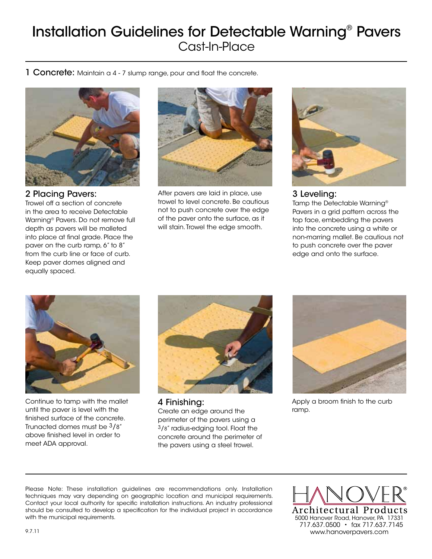## Installation Guidelines for Detectable Warning® Pavers Cast-In-Place

1 Concrete: Maintain a 4 - 7 slump range, pour and float the concrete.



2 Placing Pavers:

Trowel off a section of concrete in the area to receive Detectable Warning® Pavers. Do not remove full depth as pavers will be malleted into place at final grade. Place the paver on the curb ramp, 6" to 8" from the curb line or face of curb. Keep paver domes aligned and equally spaced.



After pavers are laid in place, use trowel to level concrete. Be cautious not to push concrete over the edge of the paver onto the surface, as it will stain. Trowel the edge smooth.



## 3 Leveling:

Tamp the Detectable Warning® Pavers in a grid pattern across the top face, embedding the pavers into the concrete using a white or non-marring mallet. Be cautious not to push concrete over the paver edge and onto the surface.



Continue to tamp with the mallet until the paver is level with the finished surface of the concrete. Trunacted domes must be 3/8" above finished level in order to meet ADA approval.



4 Finishing: Create an edge around the perimeter of the pavers using a 3/8" radius-edging tool. Float the concrete around the perimeter of the pavers using a steel trowel.



Apply a broom finish to the curb ramp.

Please Note: These installation guidelines are recommendations only. Installation techniques may vary depending on geographic location and municipal requirements. Contact your local authority for specific installation instructions. An industry professional should be consulted to develop a specification for the individual project in accordance with the municipal requirements. The municipal requirements. The municipal requirements. The municipal requirements.

Architectural Products 717.637.0500 • fax 717.637.7145 9.7.11 www.hanoverpavers.com